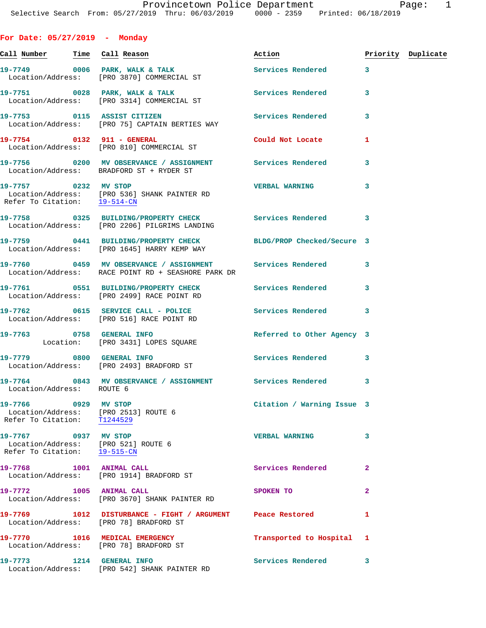**For Date: 05/27/2019 - Monday**

|                                                                                             |                                                                                                                 | Action                     |              | Priority Duplicate |
|---------------------------------------------------------------------------------------------|-----------------------------------------------------------------------------------------------------------------|----------------------------|--------------|--------------------|
|                                                                                             | 19-7749 0006 PARK, WALK & TALK<br>Location/Address: [PRO 3870] COMMERCIAL ST                                    | Services Rendered 3        |              |                    |
|                                                                                             | 19-7751 0028 PARK, WALK & TALK<br>Location/Address: [PRO 3314] COMMERCIAL ST                                    | Services Rendered          | 3            |                    |
| 19-7753 0115 ASSIST CITIZEN                                                                 | Location/Address: [PRO 75] CAPTAIN BERTIES WAY                                                                  | Services Rendered          | 3            |                    |
|                                                                                             | 19-7754 0132 911 - GENERAL<br>Location/Address: [PRO 810] COMMERCIAL ST                                         | Could Not Locate           | 1            |                    |
|                                                                                             | 19-7756 0200 MV OBSERVANCE / ASSIGNMENT Services Rendered<br>Location/Address: BRADFORD ST + RYDER ST           |                            | 3            |                    |
| 19-7757 0232 MV STOP<br>Refer To Citation: 19-514-CN                                        | Location/Address: [PRO 536] SHANK PAINTER RD                                                                    | <b>VERBAL WARNING</b>      | 3            |                    |
|                                                                                             | 19-7758 0325 BUILDING/PROPERTY CHECK Services Rendered 3<br>Location/Address: [PRO 2206] PILGRIMS LANDING       |                            |              |                    |
|                                                                                             | 19-7759 0441 BUILDING/PROPERTY CHECK BLDG/PROP Checked/Secure 3<br>Location/Address: [PRO 1645] HARRY KEMP WAY  |                            |              |                    |
|                                                                                             | 19-7760 0459 MV OBSERVANCE / ASSIGNMENT Services Rendered<br>Location/Address: RACE POINT RD + SEASHORE PARK DR |                            | 3            |                    |
|                                                                                             | 19-7761 0551 BUILDING/PROPERTY CHECK Services Rendered<br>Location/Address: [PRO 2499] RACE POINT RD            |                            | 3            |                    |
|                                                                                             | 19-7762 0615 SERVICE CALL - POLICE 30 Services Rendered<br>Location/Address: [PRO 516] RACE POINT RD            |                            | 3            |                    |
| 19-7763 0758 GENERAL INFO                                                                   | Location: [PRO 3431] LOPES SQUARE                                                                               | Referred to Other Agency 3 |              |                    |
|                                                                                             | 19-7779 0800 GENERAL INFO<br>Location/Address: [PRO 2493] BRADFORD ST                                           | <b>Services Rendered</b>   | 3            |                    |
| Location/Address: ROUTE 6                                                                   | 19-7764 0843 MV OBSERVANCE / ASSIGNMENT Services Rendered                                                       |                            | 3            |                    |
| 19-7766 0929 MV STOP<br>Location/Address: [PRO 2513] ROUTE 6<br>Refer To Citation: T1244529 |                                                                                                                 | Citation / Warning Issue 3 |              |                    |
| 19-7767 0937 MV STOP<br>Location/Address: [PRO 521] ROUTE 6<br>Refer To Citation: 19-515-CN |                                                                                                                 | <b>VERBAL WARNING</b>      | 3            |                    |
| 19-7768 1001 ANIMAL CALL                                                                    | Location/Address: [PRO 1914] BRADFORD ST                                                                        | Services Rendered          | $\mathbf{2}$ |                    |
| 19-7772 1005 ANIMAL CALL                                                                    | Location/Address: [PRO 3670] SHANK PAINTER RD                                                                   | SPOKEN TO                  | $\mathbf{2}$ |                    |
|                                                                                             | Location/Address: [PRO 78] BRADFORD ST                                                                          |                            | 1            |                    |
|                                                                                             | 19-7770 1016 MEDICAL EMERGENCY<br>Location/Address: [PRO 78] BRADFORD ST                                        | Transported to Hospital    | 1            |                    |
| 19-7773 1214 GENERAL INFO                                                                   | Location/Address: [PRO 542] SHANK PAINTER RD                                                                    | Services Rendered          | 3            |                    |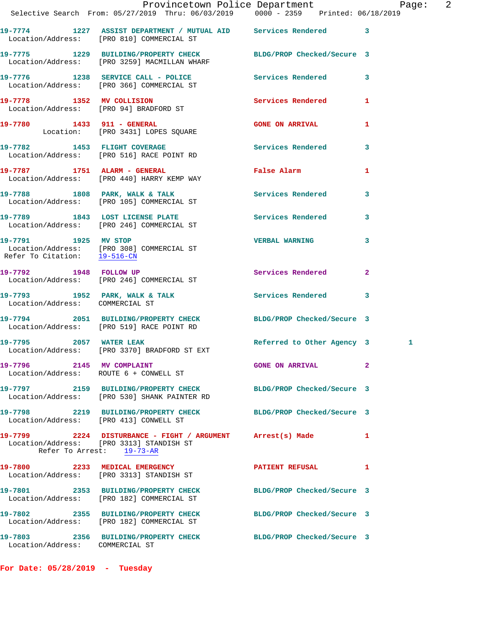|                                 | Provincetown Police Department Page: 2<br>Selective Search From: 05/27/2019 Thru: 06/03/2019   0000 - 2359   Printed: 06/18/2019    |                            |              |  |
|---------------------------------|-------------------------------------------------------------------------------------------------------------------------------------|----------------------------|--------------|--|
|                                 | 19-7774 1227 ASSIST DEPARTMENT / MUTUAL AID Services Rendered 3                                                                     |                            |              |  |
|                                 | Location/Address: [PRO 810] COMMERCIAL ST                                                                                           |                            |              |  |
|                                 | 19-7775 1229 BUILDING/PROPERTY CHECK BLDG/PROP Checked/Secure 3<br>Location/Address: [PRO 3259] MACMILLAN WHARF                     |                            |              |  |
|                                 | 19-7776 1238 SERVICE CALL - POLICE Services Rendered 3<br>Location/Address: [PRO 366] COMMERCIAL ST                                 |                            |              |  |
|                                 | 19-7778 1352 MV COLLISION 2000 Services Rendered<br>Location/Address: [PRO 94] BRADFORD ST                                          |                            | $\mathbf{1}$ |  |
|                                 | 19-7780 1433 911 - GENERAL<br>Location: [PRO 3431] LOPES SQUARE                                                                     | <b>GONE ON ARRIVAL</b>     | $\mathbf{1}$ |  |
|                                 | 19-7782 1453 FLIGHT COVERAGE 3 Services Rendered 3<br>Location/Address: [PRO 516] RACE POINT RD                                     |                            |              |  |
|                                 | 19-7787 1751 ALARM - GENERAL<br>Location/Address: [PRO 440] HARRY KEMP WAY                                                          | False Alarm 1              |              |  |
|                                 | 19-7788 1808 PARK, WALK & TALK 1999 Services Rendered 3<br>Location/Address: [PRO 105] COMMERCIAL ST                                |                            |              |  |
|                                 | 19-7789 1843 LOST LICENSE PLATE 19-7789 Services Rendered 3<br>Location/Address: [PRO 246] COMMERCIAL ST                            |                            |              |  |
|                                 | 19-7791 1925 MV STOP<br>Location/Address: [PRO 308] COMMERCIAL ST<br>Refer To Citation: 19-516-CN                                   | <b>VERBAL WARNING 3</b>    |              |  |
|                                 | 19-7792 1948 FOLLOW UP<br>Location/Address: [PRO 246] COMMERCIAL ST                                                                 | Services Rendered          | $\mathbf{2}$ |  |
| Location/Address: COMMERCIAL ST | 19-7793 1952 PARK, WALK & TALK 1988 Services Rendered 3                                                                             |                            |              |  |
|                                 | 19-7794 2051 BUILDING/PROPERTY CHECK BLDG/PROP Checked/Secure 3<br>Location/Address: [PRO 519] RACE POINT RD                        |                            |              |  |
|                                 | 19-7795 2057 WATER LEAK<br>Location/Address: [PRO 3370] BRADFORD ST EXT                                                             | Referred to Other Agency 3 | 1            |  |
| 19-7796 2145 MV COMPLAINT       | Location/Address: ROUTE 6 + CONWELL ST                                                                                              | <b>GONE ON ARRIVAL</b>     | $\mathbf{2}$ |  |
|                                 | 19-7797 2159 BUILDING/PROPERTY CHECK<br>Location/Address: [PRO 530] SHANK PAINTER RD                                                | BLDG/PROP Checked/Secure 3 |              |  |
|                                 | 19-7798 2219 BUILDING/PROPERTY CHECK BLDG/PROP Checked/Secure 3<br>Location/Address: [PRO 413] CONWELL ST                           |                            |              |  |
|                                 | 19-7799 2224 DISTURBANCE - FIGHT / ARGUMENT Arrest(s) Made<br>Location/Address: [PRO 3313] STANDISH ST<br>Refer To Arrest: 19-73-AR |                            | 1            |  |
|                                 | 19-7800 2233 MEDICAL EMERGENCY<br>Location/Address: [PRO 3313] STANDISH ST                                                          | <b>PATIENT REFUSAL</b>     | 1            |  |
|                                 | 19-7801 2353 BUILDING/PROPERTY CHECK<br>Location/Address: [PRO 182] COMMERCIAL ST                                                   | BLDG/PROP Checked/Secure 3 |              |  |
|                                 | 19-7802 2355 BUILDING/PROPERTY CHECK<br>Location/Address: [PRO 182] COMMERCIAL ST                                                   | BLDG/PROP Checked/Secure 3 |              |  |
| Location/Address: COMMERCIAL ST | 19-7803 2356 BUILDING/PROPERTY CHECK BLDG/PROP Checked/Secure 3                                                                     |                            |              |  |

**For Date: 05/28/2019 - Tuesday**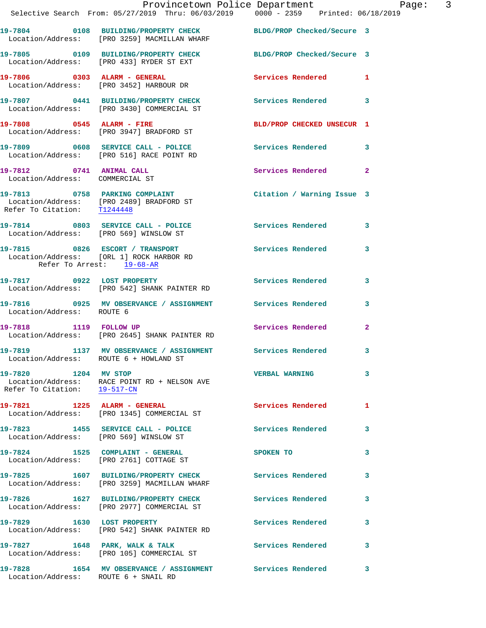|                                                             | Provincetown Police Department Page: 3<br>Selective Search From: 05/27/2019 Thru: 06/03/2019   0000 - 2359   Printed: 06/18/2019 |                            |              |  |
|-------------------------------------------------------------|----------------------------------------------------------------------------------------------------------------------------------|----------------------------|--------------|--|
|                                                             | 19-7804 0108 BUILDING/PROPERTY CHECK BLDG/PROP Checked/Secure 3<br>Location/Address: [PRO 3259] MACMILLAN WHARF                  |                            |              |  |
|                                                             | 19-7805 0109 BUILDING/PROPERTY CHECK BLDG/PROP Checked/Secure 3<br>Location/Address: [PRO 433] RYDER ST EXT                      |                            |              |  |
|                                                             | 19-7806 0303 ALARM - GENERAL<br>Location/Address: [PRO 3452] HARBOUR DR                                                          | Services Rendered 1        |              |  |
|                                                             | 19-7807 0441 BUILDING/PROPERTY CHECK Services Rendered 3<br>Location/Address: [PRO 3430] COMMERCIAL ST                           |                            |              |  |
|                                                             | 19-7808 0545 ALARM - FIRE<br>Location/Address: [PRO 3947] BRADFORD ST                                                            | BLD/PROP CHECKED UNSECUR 1 |              |  |
|                                                             | 19-7809 0608 SERVICE CALL - POLICE Services Rendered 3<br>Location/Address: [PRO 516] RACE POINT RD                              |                            |              |  |
| 19-7812 0741 ANIMAL CALL<br>Location/Address: COMMERCIAL ST |                                                                                                                                  | Services Rendered 2        |              |  |
| Refer To Citation: T1244448                                 | 19-7813 0758 PARKING COMPLAINT<br>Location/Address: [PRO 2489] BRADFORD ST                                                       | Citation / Warning Issue 3 |              |  |
|                                                             | 19-7814 0803 SERVICE CALL - POLICE Services Rendered 3<br>Location/Address: [PRO 569] WINSLOW ST                                 |                            |              |  |
| Refer To Arrest: 19-68-AR                                   | 19-7815 0826 ESCORT / TRANSPORT<br>Location/Address: [ORL 1] ROCK HARBOR RD                                                      | Services Rendered 3        |              |  |
|                                                             | 19-7817 0922 LOST PROPERTY<br>Location/Address: [PRO 542] SHANK PAINTER RD                                                       | <b>Services Rendered</b>   | 3            |  |
| Location/Address: ROUTE 6                                   | 19-7816 0925 MV OBSERVANCE / ASSIGNMENT Services Rendered 3                                                                      |                            |              |  |
| 19-7818 1119 FOLLOW UP                                      | Location/Address: [PRO 2645] SHANK PAINTER RD                                                                                    | Services Rendered          | $\mathbf{2}$ |  |
|                                                             | 19-7819 1137 MV OBSERVANCE / ASSIGNMENT Services Rendered 3<br>Location/Address: ROUTE 6 + HOWLAND ST                            |                            |              |  |
| 19-7820 1204 MV STOP<br>Refer To Citation: 19-517-CN        | Location/Address: RACE POINT RD + NELSON AVE                                                                                     | <b>VERBAL WARNING</b>      | 3            |  |
|                                                             | 19-7821 1225 ALARM - GENERAL<br>Location/Address: [PRO 1345] COMMERCIAL ST                                                       | Services Rendered          | $\mathbf{1}$ |  |
|                                                             | 19-7823 1455 SERVICE CALL - POLICE<br>Location/Address: [PRO 569] WINSLOW ST                                                     | Services Rendered          | 3            |  |
|                                                             | 19-7824 1525 COMPLAINT - GENERAL<br>Location/Address: [PRO 2761] COTTAGE ST                                                      | SPOKEN TO                  | 3            |  |
|                                                             | 19-7825 1607 BUILDING/PROPERTY CHECK Services Rendered<br>Location/Address: [PRO 3259] MACMILLAN WHARF                           |                            | 3            |  |
|                                                             | 19-7826 1627 BUILDING/PROPERTY CHECK<br>Location/Address: [PRO 2977] COMMERCIAL ST                                               | Services Rendered          | 3            |  |
|                                                             | 19-7829 1630 LOST PROPERTY<br>Location/Address: [PRO 542] SHANK PAINTER RD                                                       | Services Rendered          | 3            |  |
|                                                             | 19-7827 1648 PARK, WALK & TALK<br>Location/Address: [PRO 105] COMMERCIAL ST                                                      | Services Rendered 3        |              |  |
| Location/Address: ROUTE 6 + SNAIL RD                        | 19-7828 1654 MV OBSERVANCE / ASSIGNMENT Services Rendered                                                                        |                            | 3            |  |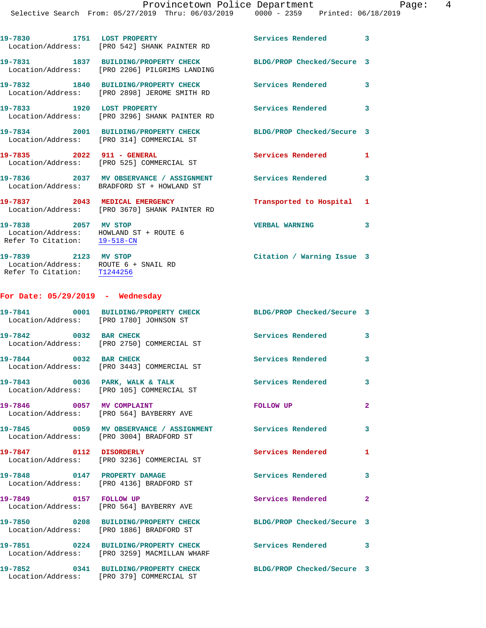|                                                                                                | 19-7830 1751 LOST PROPERTY<br>Location/Address: [PRO 542] SHANK PAINTER RD                               | Services Rendered 3        |                         |
|------------------------------------------------------------------------------------------------|----------------------------------------------------------------------------------------------------------|----------------------------|-------------------------|
|                                                                                                | 19-7831 1837 BUILDING/PROPERTY CHECK<br>Location/Address: [PRO 2206] PILGRIMS LANDING                    | BLDG/PROP Checked/Secure 3 |                         |
|                                                                                                | 19-7832 1840 BUILDING/PROPERTY CHECK<br>Location/Address: [PRO 2898] JEROME SMITH RD                     | Services Rendered          | $\mathbf{3}$            |
| 19-7833 1920 LOST PROPERTY                                                                     | Location/Address: [PRO 3296] SHANK PAINTER RD                                                            | Services Rendered 3        |                         |
|                                                                                                | 19-7834 2001 BUILDING/PROPERTY CHECK<br>Location/Address: [PRO 314] COMMERCIAL ST                        | BLDG/PROP Checked/Secure 3 |                         |
| 19-7835 2022 911 - GENERAL                                                                     | Location/Address: [PRO 525] COMMERCIAL ST                                                                | Services Rendered 1        |                         |
|                                                                                                | 19-7836 2037 MV OBSERVANCE / ASSIGNMENT<br>Location/Address: BRADFORD ST + HOWLAND ST                    | Services Rendered          | 3                       |
| 19-7837 2043 MEDICAL EMERGENCY                                                                 | Location/Address: [PRO 3670] SHANK PAINTER RD                                                            | Transported to Hospital 1  |                         |
| 19-7838 2057 MV STOP<br>Location/Address: HOWLAND ST + ROUTE 6<br>Refer To Citation: 19-518-CN |                                                                                                          | <b>VERBAL WARNING</b>      | 3                       |
| 19-7839 2123 MV STOP<br>Location/Address: ROUTE 6 + SNAIL RD<br>Refer To Citation: T1244256    |                                                                                                          | Citation / Warning Issue 3 |                         |
| For Date: $05/29/2019$ - Wednesday                                                             |                                                                                                          |                            |                         |
| Location/Address: [PRO 1780] JOHNSON ST                                                        | 19-7841 0001 BUILDING/PROPERTY CHECK                                                                     | BLDG/PROP Checked/Secure 3 |                         |
| 19-7842 0032 BAR CHECK                                                                         | Location/Address: [PRO 2750] COMMERCIAL ST                                                               | Services Rendered 3        |                         |
| 19-7844 0032 BAR CHECK                                                                         | Location/Address: [PRO 3443] COMMERCIAL ST                                                               | Services Rendered 3        |                         |
|                                                                                                | 19-7843 0036 PARK, WALK & TALK<br>Location/Address: [PRO 105] COMMERCIAL ST                              | <b>Services Rendered</b>   | 3                       |
| 19-7846 0057 MV COMPLAINT                                                                      | Location/Address: [PRO 564] BAYBERRY AVE                                                                 | FOLLOW UP                  | $\overline{2}$          |
|                                                                                                | Location/Address: [PRO 3004] BRADFORD ST                                                                 |                            | 3                       |
| 19-7847 0112 DISORDERLY                                                                        | Location/Address: [PRO 3236] COMMERCIAL ST                                                               | Services Rendered          | $\mathbf{1}$            |
| 19-7848 0147 PROPERTY DAMAGE                                                                   | Location/Address: [PRO 4136] BRADFORD ST                                                                 | <b>Services Rendered</b>   | $\overline{\mathbf{3}}$ |
| 19-7849 0157 FOLLOW UP                                                                         | Location/Address: [PRO 564] BAYBERRY AVE                                                                 | Services Rendered          | $\mathbf{2}$            |
|                                                                                                | 19-7850 0208 BUILDING/PROPERTY CHECK<br>Location/Address: [PRO 1886] BRADFORD ST                         | BLDG/PROP Checked/Secure 3 |                         |
|                                                                                                | 19-7851 0224 BUILDING/PROPERTY CHECK Services Rendered 3<br>Location/Address: [PRO 3259] MACMILLAN WHARF |                            |                         |
| 19-7852                                                                                        | 0341 BUILDING/PROPERTY CHECK                                                                             | BLDG/PROP Checked/Secure 3 |                         |

Location/Address: [PRO 379] COMMERCIAL ST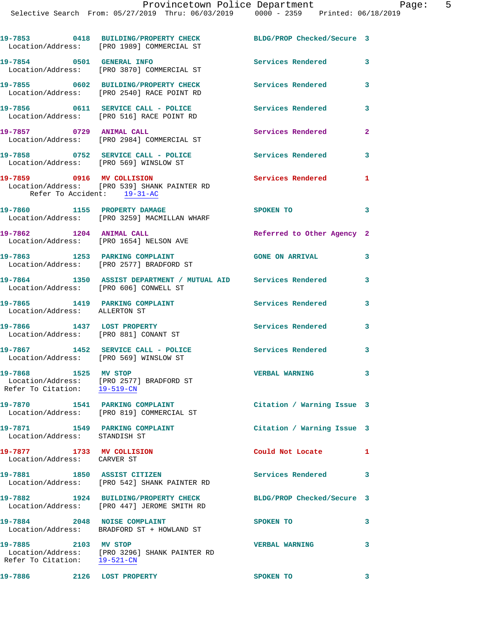|  |                                          |  | FIOVINCECOWN FOIICE DEPAICMENT |             |                     |
|--|------------------------------------------|--|--------------------------------|-------------|---------------------|
|  | Search From: 05/27/2019 Thru: 06/03/2019 |  |                                | 0000 - 2359 | Printed: 06/18/2019 |
|  |                                          |  |                                |             |                     |

|                                                                     | 19-7853 0418 BUILDING/PROPERTY CHECK BLDG/PROP Checked/Secure 3<br>Location/Address: [PRO 1989] COMMERCIAL ST |                            |                         |
|---------------------------------------------------------------------|---------------------------------------------------------------------------------------------------------------|----------------------------|-------------------------|
| 19-7854 0501 GENERAL INFO                                           | Location/Address: [PRO 3870] COMMERCIAL ST                                                                    | Services Rendered 3        |                         |
|                                                                     | 19-7855 0602 BUILDING/PROPERTY CHECK<br>Location/Address: [PRO 2540] RACE POINT RD                            | Services Rendered          | 3                       |
|                                                                     | 19-7856 0611 SERVICE CALL - POLICE<br>Location/Address: [PRO 516] RACE POINT RD                               | <b>Services Rendered</b>   | $\overline{\mathbf{3}}$ |
| 19-7857 0729 ANIMAL CALL                                            | Location/Address: [PRO 2984] COMMERCIAL ST                                                                    | Services Rendered          | $\mathbf{2}$            |
| Location/Address: [PRO 569] WINSLOW ST                              | 19-7858 0752 SERVICE CALL - POLICE                                                                            | <b>Services Rendered</b>   | $\overline{\mathbf{3}}$ |
| 19-7859 0916 MV COLLISION<br>Refer To Accident: 19-31-AC            | Location/Address: [PRO 539] SHANK PAINTER RD                                                                  | <b>Services Rendered</b>   | 1                       |
|                                                                     | 19-7860 1155 PROPERTY DAMAGE<br>Location/Address: [PRO 3259] MACMILLAN WHARF                                  | <b>SPOKEN TO</b>           | 3                       |
| 19-7862 1204 ANIMAL CALL                                            | Location/Address: [PRO 1654] NELSON AVE                                                                       | Referred to Other Agency 2 |                         |
|                                                                     | 19-7863 1253 PARKING COMPLAINT<br>Location/Address: [PRO 2577] BRADFORD ST                                    | <b>GONE ON ARRIVAL</b>     | 3                       |
| Location/Address: [PRO 606] CONWELL ST                              | 19-7864 1350 ASSIST DEPARTMENT / MUTUAL AID Services Rendered 3                                               |                            |                         |
| 19-7865 1419 PARKING COMPLAINT<br>Location/Address: ALLERTON ST     |                                                                                                               | <b>Services Rendered</b>   | $\mathbf{3}$            |
| 19-7866 1437 LOST PROPERTY<br>Location/Address: [PRO 881] CONANT ST |                                                                                                               | <b>Services Rendered</b>   | 3                       |
| Location/Address: [PRO 569] WINSLOW ST                              | 19-7867 1452 SERVICE CALL - POLICE                                                                            | Services Rendered 3        |                         |
| 19-7868 1525 MV STOP                                                | Location/Address: [PRO 2577] BRADFORD ST<br>Refer To Citation: $\frac{19-519-CN}{29-519-CN}$                  | <b>VERBAL WARNING</b>      |                         |
|                                                                     | 19-7870 1541 PARKING COMPLAINT<br>Location/Address: [PRO 819] COMMERCIAL ST                                   | Citation / Warning Issue 3 |                         |
| 19-7871 1549 PARKING COMPLAINT<br>Location/Address: STANDISH ST     |                                                                                                               | Citation / Warning Issue 3 |                         |
| 19-7877 1733 MV COLLISION<br>Location/Address: CARVER ST            |                                                                                                               | Could Not Locate           | 1                       |
| 19-7881 1850 ASSIST CITIZEN                                         | Location/Address: [PRO 542] SHANK PAINTER RD                                                                  | Services Rendered          | 3                       |
|                                                                     | 19-7882 1924 BUILDING/PROPERTY CHECK<br>Location/Address: [PRO 447] JEROME SMITH RD                           | BLDG/PROP Checked/Secure 3 |                         |
| 19-7884 2048 NOISE COMPLAINT                                        | Location/Address: BRADFORD ST + HOWLAND ST                                                                    | SPOKEN TO                  | 3                       |

Refer To Citation: 19-521-CN

**19-7885 2103 MV STOP VERBAL WARNING 3**  Location/Address: [PRO 3296] SHANK PAINTER RD

**19-7886 2126 LOST PROPERTY SPOKEN TO 3**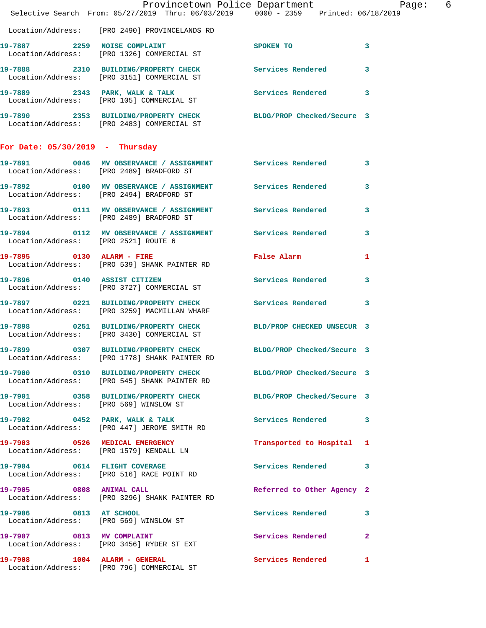|                                        | Provincetown Police Department Page: 6<br>Selective Search From: 05/27/2019 Thru: 06/03/2019   0000 - 2359   Printed: 06/18/2019 |                              |              |
|----------------------------------------|----------------------------------------------------------------------------------------------------------------------------------|------------------------------|--------------|
|                                        | Location/Address: [PRO 2490] PROVINCELANDS RD                                                                                    |                              |              |
|                                        | 19-7887 2259 NOISE COMPLAINT<br>Location/Address: [PRO 1326] COMMERCIAL ST                                                       | SPOKEN TO                    | $\mathbf{3}$ |
|                                        | 19-7888 2310 BUILDING/PROPERTY CHECK Services Rendered 3<br>Location/Address: [PRO 3151] COMMERCIAL ST                           |                              |              |
|                                        | 19-7889 2343 PARK, WALK & TALK CONNECT Services Rendered 3<br>Location/Address: [PRO 105] COMMERCIAL ST                          |                              |              |
|                                        | 19-7890 2353 BUILDING/PROPERTY CHECK BLDG/PROP Checked/Secure 3<br>Location/Address: [PRO 2483] COMMERCIAL ST                    |                              |              |
| For Date: $05/30/2019$ - Thursday      |                                                                                                                                  |                              |              |
|                                        | 19-7891 0046 MV OBSERVANCE / ASSIGNMENT Services Rendered 3<br>Location/Address: [PRO 2489] BRADFORD ST                          |                              |              |
|                                        | 19-7892 0100 MV OBSERVANCE / ASSIGNMENT Services Rendered<br>Location/Address: [PRO 2494] BRADFORD ST                            |                              | 3            |
|                                        | 19-7893 0111 MV OBSERVANCE / ASSIGNMENT Services Rendered<br>Location/Address: [PRO 2489] BRADFORD ST                            |                              | 3            |
| Location/Address: [PRO 2521] ROUTE 6   | 19-7894 0112 MV OBSERVANCE / ASSIGNMENT Services Rendered 3                                                                      |                              |              |
|                                        | 19-7895 0130 ALARM - FIRE<br>Location/Address: [PRO 539] SHANK PAINTER RD                                                        | False Alarm <b>Example 2</b> | $\mathbf{1}$ |
|                                        | 19-7896 0140 ASSIST CITIZEN<br>Location/Address: [PRO 3727] COMMERCIAL ST                                                        | <b>Services Rendered</b>     | 3            |
|                                        | 19-7897 0221 BUILDING/PROPERTY CHECK Services Rendered 3<br>Location/Address: [PRO 3259] MACMILLAN WHARF                         |                              |              |
|                                        | 19-7898 0251 BUILDING/PROPERTY CHECK BLD/PROP CHECKED UNSECUR 3<br>Location/Address: [PRO 3430] COMMERCIAL ST                    |                              |              |
|                                        | 19-7899 0307 BUILDING/PROPERTY CHECK<br>Location/Address: [PRO 1778] SHANK PAINTER RD                                            | BLDG/PROP Checked/Secure 3   |              |
|                                        | 19-7900 0310 BUILDING/PROPERTY CHECK BLDG/PROP Checked/Secure 3<br>Location/Address: [PRO 545] SHANK PAINTER RD                  |                              |              |
| Location/Address: [PRO 569] WINSLOW ST | 19-7901 0358 BUILDING/PROPERTY CHECK BLDG/PROP Checked/Secure 3                                                                  |                              |              |
|                                        | 19-7902 0452 PARK, WALK & TALK<br>Location/Address: [PRO 447] JEROME SMITH RD                                                    | Services Rendered 3          |              |
|                                        | 19-7903 0526 MEDICAL EMERGENCY<br>Location/Address: [PRO 1579] KENDALL LN                                                        | Transported to Hospital 1    |              |
|                                        | 19-7904 0614 FLIGHT COVERAGE<br>Location/Address: [PRO 516] RACE POINT RD                                                        | Services Rendered 3          |              |
| 19-7905 0808 ANIMAL CALL               | Location/Address: [PRO 3296] SHANK PAINTER RD                                                                                    | Referred to Other Agency 2   |              |
| 19-7906 0813 AT SCHOOL                 | Location/Address: [PRO 569] WINSLOW ST                                                                                           | Services Rendered 3          |              |
| 19-7907 0813 MV COMPLAINT              | Location/Address: [PRO 3456] RYDER ST EXT                                                                                        | <b>Services Rendered</b> 2   |              |
|                                        | 19-7908 1004 ALARM - GENERAL<br>Location/Address: [PRO 796] COMMERCIAL ST                                                        | Services Rendered 1          |              |
|                                        |                                                                                                                                  |                              |              |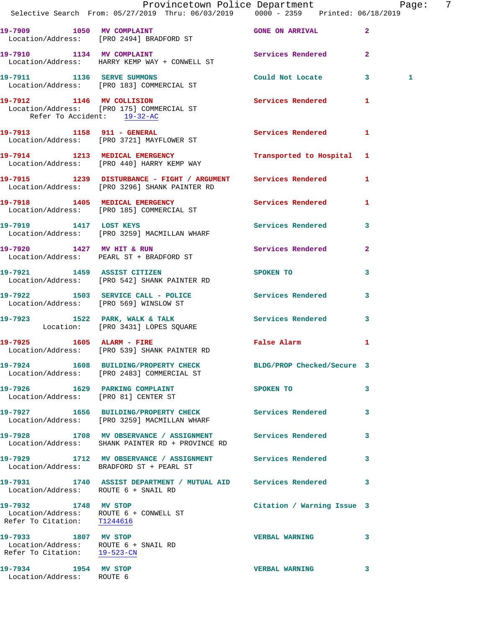|                                                                                              | Provincetown Police Department Page: 7<br>Selective Search From: 05/27/2019 Thru: 06/03/2019   0000 - 2359   Printed: 06/18/2019 |                            |              |
|----------------------------------------------------------------------------------------------|----------------------------------------------------------------------------------------------------------------------------------|----------------------------|--------------|
|                                                                                              | 19-7909 1050 MV COMPLAINT COME ON ARRIVAL<br>Location/Address: [PRO 2494] BRADFORD ST                                            |                            |              |
|                                                                                              | 19-7910 1134 MV COMPLAINT<br>Location/Address: HARRY KEMP WAY + CONWELL ST                                                       | Services Rendered 2        |              |
|                                                                                              | 19-7911 1136 SERVE SUMMONS<br>Location/Address: [PRO 183] COMMERCIAL ST                                                          | Could Not Locate 3         | 1            |
| Refer To Accident: 19-32-AC                                                                  | 19-7912 1146 MV COLLISION Services Rendered 1<br>Location/Address: [PRO 175] COMMERCIAL ST                                       |                            |              |
|                                                                                              | 19-7913 1158 911 - GENERAL<br>Location/Address: [PRO 3721] MAYFLOWER ST                                                          | Services Rendered 1        |              |
|                                                                                              | 19-7914 1213 MEDICAL EMERGENCY Transported to Hospital 1<br>Location/Address: [PRO 440] HARRY KEMP WAY                           |                            |              |
|                                                                                              | 19-7915 1239 DISTURBANCE - FIGHT / ARGUMENT Services Rendered 1<br>Location/Address: [PRO 3296] SHANK PAINTER RD                 |                            |              |
|                                                                                              | 19-7918 1405 MEDICAL EMERGENCY Services Rendered 1<br>Location/Address: [PRO 185] COMMERCIAL ST                                  |                            |              |
|                                                                                              | 19-7919 1417 LOST KEYS<br>Location/Address: [PRO 3259] MACMILLAN WHARF                                                           | Services Rendered 3        |              |
|                                                                                              | 19-7920 1427 MV HIT & RUN<br>Location/Address: PEARL ST + BRADFORD ST                                                            | Services Rendered          | $\mathbf{2}$ |
|                                                                                              | 19-7921 1459 ASSIST CITIZEN SPOKEN TO<br>Location/Address: [PRO 542] SHANK PAINTER RD                                            |                            | 3            |
|                                                                                              | 19-7922 1503 SERVICE CALL - POLICE 3 Services Rendered 3<br>Location/Address: [PRO 569] WINSLOW ST                               |                            |              |
|                                                                                              | 19-7923 1522 PARK, WALK & TALK (Services Rendered Location: [PRO 3431] LOPES SQUARE                                              |                            | $\mathbf{3}$ |
|                                                                                              | 19-7925 1605 ALARM - FIRE<br>Location/Address: [PRO 539] SHANK PAINTER RD                                                        | False Alarm                | 1            |
|                                                                                              | 19-7924 1608 BUILDING/PROPERTY CHECK BLDG/PROP Checked/Secure 3<br>Location/Address: [PRO 2483] COMMERCIAL ST                    |                            |              |
| Location/Address: [PRO 81] CENTER ST                                                         | 19-7926 1629 PARKING COMPLAINT                                                                                                   | SPOKEN TO                  | 3            |
|                                                                                              | 19-7927 1656 BUILDING/PROPERTY CHECK Services Rendered<br>Location/Address: [PRO 3259] MACMILLAN WHARF                           |                            | 3            |
|                                                                                              | 19-7928 1708 MV OBSERVANCE / ASSIGNMENT Services Rendered<br>Location/Address: SHANK PAINTER RD + PROVINCE RD                    |                            | 3            |
|                                                                                              | 19-7929 1712 MV OBSERVANCE / ASSIGNMENT Services Rendered<br>Location/Address: BRADFORD ST + PEARL ST                            |                            | 3            |
| Location/Address: ROUTE 6 + SNAIL RD                                                         | 19-7931 1740 ASSIST DEPARTMENT / MUTUAL AID Services Rendered                                                                    |                            | 3            |
| 19-7932 1748 MV STOP<br>Refer To Citation: T1244616                                          | Location/Address: ROUTE 6 + CONWELL ST                                                                                           | Citation / Warning Issue 3 |              |
| 19-7933 1807 MV STOP<br>Location/Address: ROUTE 6 + SNAIL RD<br>Refer To Citation: 19-523-CN |                                                                                                                                  | <b>VERBAL WARNING</b>      | 3            |
| 19-7934 1954 MV STOP<br>Location/Address: ROUTE 6                                            |                                                                                                                                  | <b>VERBAL WARNING</b>      | 3            |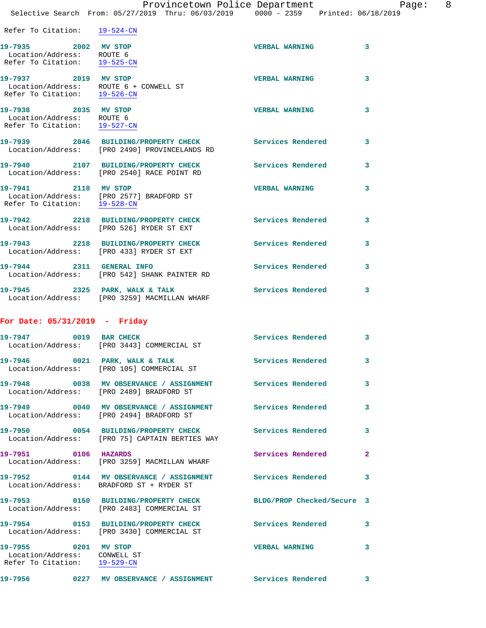|  | Provincetown Police Department                     |                                 | - 8<br>Page: |
|--|----------------------------------------------------|---------------------------------|--------------|
|  | Selective Search From: 05/27/2019 Thru: 06/03/2019 | 0000 - 2359 Printed: 06/18/2019 |              |

| Refer To Citation: 19-524-CN                                                                   |                                                                                                       |                            |                |
|------------------------------------------------------------------------------------------------|-------------------------------------------------------------------------------------------------------|----------------------------|----------------|
| 19-7935 2002 MV STOP<br>Location/Address: ROUTE 6<br>Refer To Citation: 19-525-CN              |                                                                                                       | <b>VERBAL WARNING</b>      | 3              |
| 19-7937 2019 MV STOP<br>Location/Address: ROUTE 6 + CONWELL ST<br>Refer To Citation: 19-526-CN |                                                                                                       | <b>VERBAL WARNING</b>      | 3              |
| 19-7938 2035 MV STOP<br>Location/Address: ROUTE 6<br>Refer To Citation: 19-527-CN              |                                                                                                       | <b>VERBAL WARNING</b>      | 3              |
|                                                                                                | 19-7939 2046 BUILDING/PROPERTY CHECK<br>Location/Address: [PRO 2490] PROVINCELANDS RD                 | <b>Services Rendered</b>   | 3              |
|                                                                                                | 19-7940 2107 BUILDING/PROPERTY CHECK<br>Location/Address: [PRO 2540] RACE POINT RD                    | Services Rendered          | 3              |
| 19-7941 2118 MV STOP<br>Refer To Citation: 19-528-CN                                           | Location/Address: [PRO 2577] BRADFORD ST                                                              | <b>VERBAL WARNING</b>      | 3              |
|                                                                                                | 19-7942 2218 BUILDING/PROPERTY CHECK<br>Location/Address: [PRO 526] RYDER ST EXT                      | <b>Services Rendered</b>   | 3              |
|                                                                                                | 19-7943 2218 BUILDING/PROPERTY CHECK<br>Location/Address: [PRO 433] RYDER ST EXT                      | Services Rendered          | 3              |
|                                                                                                | 19-7944 2311 GENERAL INFO<br>Location/Address: [PRO 542] SHANK PAINTER RD                             | Services Rendered          | 3              |
| $19-7945$ 2325 PARK, WALK & TALK                                                               | Location/Address: [PRO 3259] MACMILLAN WHARF                                                          | <b>Services Rendered</b>   | 3              |
| For Date: 05/31/2019 - Friday                                                                  |                                                                                                       |                            |                |
| 19-7947 0019 BAR CHECK                                                                         | Location/Address: [PRO 3443] COMMERCIAL ST                                                            | Services Rendered          | 3              |
|                                                                                                | 19-7946 0021 PARK, WALK & TALK<br>Location/Address: [PRO 105] COMMERCIAL ST                           | Services Rendered          | 3              |
|                                                                                                | 19-7948 0038 MV OBSERVANCE / ASSIGNMENT<br>Location/Address: [PRO 2489] BRADFORD ST                   | <b>Services Rendered</b>   |                |
|                                                                                                | 19-7949 0040 MV OBSERVANCE / ASSIGNMENT Services Rendered<br>Location/Address: [PRO 2494] BRADFORD ST |                            | 3              |
|                                                                                                | 19-7950 0054 BUILDING/PROPERTY CHECK<br>Location/Address: [PRO 75] CAPTAIN BERTIES WAY                | <b>Services Rendered</b>   | 3              |
| 19-7951 0106 HAZARDS                                                                           | Location/Address: [PRO 3259] MACMILLAN WHARF                                                          | Services Rendered          | $\overline{a}$ |
|                                                                                                | 19-7952 0144 MV OBSERVANCE / ASSIGNMENT Services Rendered<br>Location/Address: BRADFORD ST + RYDER ST |                            | 3              |
|                                                                                                | 19-7953 0150 BUILDING/PROPERTY CHECK<br>Location/Address: [PRO 2483] COMMERCIAL ST                    | BLDG/PROP Checked/Secure 3 |                |
|                                                                                                | 19-7954 0153 BUILDING/PROPERTY CHECK Services Rendered<br>Location/Address: [PRO 3430] COMMERCIAL ST  |                            | 3              |
| 19-7955 0201 MV STOP<br>Location/Address: CONWELL ST<br>Refer To Citation: 19-529-CN           |                                                                                                       | <b>VERBAL WARNING</b>      | 3              |

**19-7956 0227 MV OBSERVANCE / ASSIGNMENT Services Rendered 3**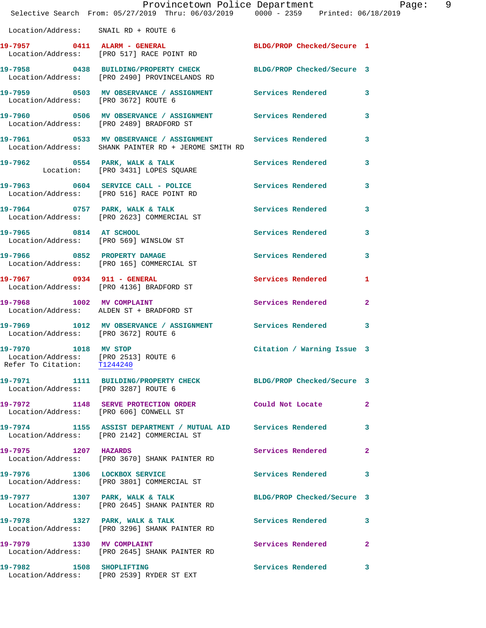|                                      | Provincetown Police Department Page: 9<br>Selective Search From: 05/27/2019 Thru: 06/03/2019   0000 - 2359   Printed: 06/18/2019 |                            |              |
|--------------------------------------|----------------------------------------------------------------------------------------------------------------------------------|----------------------------|--------------|
| Location/Address: SNAIL RD + ROUTE 6 |                                                                                                                                  |                            |              |
|                                      | 19-7957 0411 ALARM - GENERAL<br>Location/Address: [PRO 517] RACE POINT RD                                                        | BLDG/PROP Checked/Secure 1 |              |
|                                      | 19-7958 0438 BUILDING/PROPERTY CHECK BLDG/PROP Checked/Secure 3<br>Location/Address: [PRO 2490] PROVINCELANDS RD                 |                            |              |
| Location/Address: [PRO 3672] ROUTE 6 | 19-7959 0503 MV OBSERVANCE / ASSIGNMENT Services Rendered 3                                                                      |                            |              |
|                                      | 19-7960 0506 MV OBSERVANCE / ASSIGNMENT Services Rendered 3<br>Location/Address: [PRO 2489] BRADFORD ST                          |                            |              |
|                                      | 19-7961 0533 MV OBSERVANCE / ASSIGNMENT Services Rendered 3<br>  Location/Address: SHANK PAINTER RD + JEROME SMITH RD            |                            |              |
|                                      | 19-7962 0554 PARK, WALK & TALK<br>Location: [PRO 3431] LOPES SQUARE                                                              | Services Rendered 3        |              |
|                                      | 19-7963 0604 SERVICE CALL - POLICE 3 Services Rendered<br>Location/Address: [PRO 516] RACE POINT RD                              |                            | 3            |
|                                      | 19-7964 0757 PARK, WALK & TALK 1997 Services Rendered 3<br>Location/Address: [PRO 2623] COMMERCIAL ST                            |                            |              |
|                                      | 19-7965 0814 AT SCHOOL<br>Location/Address: [PRO 569] WINSLOW ST                                                                 | Services Rendered          | 3            |
|                                      | 19-7966 0852 PROPERTY DAMAGE<br>Location/Address: [PRO 165] COMMERCIAL ST                                                        | Services Rendered 3        |              |
|                                      | 19-7967 0934 911 - GENERAL<br>Location/Address: [PRO 4136] BRADFORD ST                                                           | <b>Services Rendered</b>   | 1            |
|                                      | 19-7968 1002 MV COMPLAINT<br>Location/Address: ALDEN ST + BRADFORD ST                                                            | Services Rendered 2        |              |
| Location/Address: [PRO 3672] ROUTE 6 | 19-7969 1012 MV OBSERVANCE / ASSIGNMENT Services Rendered                                                                        |                            | 3            |
| 19-7970 1018 MV STOP                 | Location/Address: [PRO 2513] ROUTE 6<br>Refer To Citation: T1244240                                                              | Citation / Warning Issue 3 |              |
| Location/Address: [PRO 3287] ROUTE 6 | 19-7971 1111 BUILDING/PROPERTY CHECK BLDG/PROP Checked/Secure 3                                                                  |                            |              |
|                                      | 19-7972 1148 SERVE PROTECTION ORDER<br>Location/Address: [PRO 606] CONWELL ST                                                    | Could Not Locate           | $\mathbf{2}$ |
|                                      | 19-7974 1155 ASSIST DEPARTMENT / MUTUAL AID Services Rendered<br>Location/Address: [PRO 2142] COMMERCIAL ST                      |                            | 3            |
| 19-7975 1207 HAZARDS                 | Location/Address: [PRO 3670] SHANK PAINTER RD                                                                                    | Services Rendered          | $\mathbf{2}$ |
|                                      | 19-7976 1306 LOCKBOX SERVICE<br>Location/Address: [PRO 3801] COMMERCIAL ST                                                       | <b>Services Rendered</b>   | 3            |
|                                      | 19-7977 1307 PARK, WALK & TALK<br>Location/Address: [PRO 2645] SHANK PAINTER RD                                                  | BLDG/PROP Checked/Secure 3 |              |
|                                      | 19-7978 1327 PARK, WALK & TALK Services Rendered<br>Location/Address: [PRO 3296] SHANK PAINTER RD                                |                            | 3            |
| 19-7979 1330 MV COMPLAINT            | Location/Address: [PRO 2645] SHANK PAINTER RD                                                                                    | <b>Services Rendered</b>   | $\mathbf{2}$ |
|                                      | 19-7982 1508 SHOPLIFTING<br>Location/Address: [PRO 2539] RYDER ST EXT                                                            | Services Rendered          | 3            |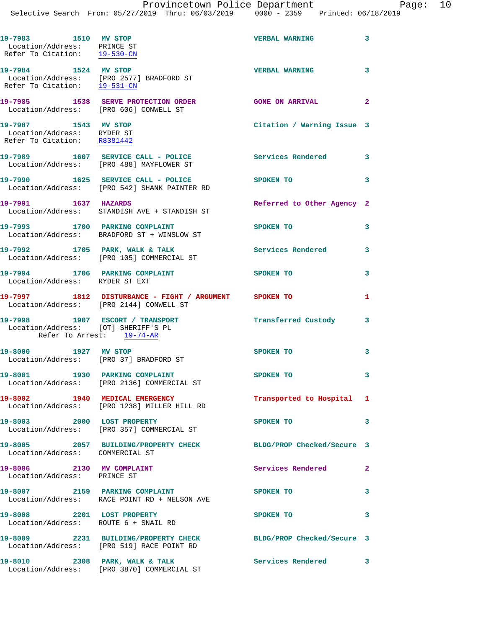| 19-7983 1510 MV STOP<br>Location/Address: PRINCE ST<br>Refer To Citation: 19-530-CN                 |                                                                                              | <b>VERBAL WARNING</b>              | $\overline{\mathbf{3}}$ |
|-----------------------------------------------------------------------------------------------------|----------------------------------------------------------------------------------------------|------------------------------------|-------------------------|
| 19-7984 1524 MV STOP                                                                                | Location/Address: [PRO 2577] BRADFORD ST<br>Refer To Citation: $\frac{19-531-CN}{29-531-CN}$ | <b>VERBAL WARNING</b>              | 3                       |
| Location/Address: [PRO 606] CONWELL ST                                                              | 19-7985 1538 SERVE PROTECTION ORDER                                                          | <b>GONE ON ARRIVAL</b><br>$\sim$ 2 |                         |
| 19-7987 1543 MV STOP<br>Location/Address: RYDER ST<br>Refer To Citation: R8381442                   |                                                                                              | Citation / Warning Issue 3         |                         |
|                                                                                                     | 19-7989 1607 SERVICE CALL - POLICE<br>Location/Address: [PRO 488] MAYFLOWER ST               | Services Rendered 3                |                         |
|                                                                                                     | 19-7990 1625 SERVICE CALL - POLICE<br>Location/Address: [PRO 542] SHANK PAINTER RD           | SPOKEN TO                          | 3                       |
| 19-7991 1637 HAZARDS                                                                                | Location/Address: STANDISH AVE + STANDISH ST                                                 | Referred to Other Agency 2         |                         |
|                                                                                                     | 19-7993 1700 PARKING COMPLAINT<br>Location/Address: BRADFORD ST + WINSLOW ST                 | SPOKEN TO                          | 3                       |
|                                                                                                     | 19-7992 1705 PARK, WALK & TALK<br>Location/Address: [PRO 105] COMMERCIAL ST                  | <b>Services Rendered</b>           | 3                       |
| Location/Address: RYDER ST EXT                                                                      | 19-7994 1706 PARKING COMPLAINT                                                               | SPOKEN TO                          | 3                       |
|                                                                                                     |                                                                                              |                                    | 1                       |
| 19-7998 1907 ESCORT / TRANSPORT<br>Location/Address: [OT] SHERIFF'S PL<br>Refer To Arrest: 19-74-AR |                                                                                              | Transferred Custody 3              |                         |
| 19-8000 1927 MV STOP<br>Location/Address: [PRO 37] BRADFORD ST                                      |                                                                                              | <b>SPOKEN TO</b>                   | 3                       |
| 19-8001 1930 PARKING COMPLAINT                                                                      | Location/Address: [PRO 2136] COMMERCIAL ST                                                   | <b>SPOKEN TO</b>                   | 3                       |
|                                                                                                     | 19-8002 1940 MEDICAL EMERGENCY<br>Location/Address: [PRO 1238] MILLER HILL RD                | Transported to Hospital 1          |                         |
| 19-8003 2000 LOST PROPERTY                                                                          | Location/Address: [PRO 357] COMMERCIAL ST                                                    | SPOKEN TO                          | 3                       |
| Location/Address: COMMERCIAL ST                                                                     | 19-8005 2057 BUILDING/PROPERTY CHECK BLDG/PROP Checked/Secure 3                              |                                    |                         |
| 19-8006 2130 MV COMPLAINT<br>Location/Address: PRINCE ST                                            |                                                                                              | <b>Services Rendered</b>           | $\mathbf{2}$            |
|                                                                                                     | 19-8007 2159 PARKING COMPLAINT<br>Location/Address: RACE POINT RD + NELSON AVE               | SPOKEN TO                          | 3                       |
| 19-8008 2201 LOST PROPERTY<br>Location/Address: ROUTE 6 + SNAIL RD                                  |                                                                                              | SPOKEN TO                          | 3                       |
|                                                                                                     | 19-8009 2231 BUILDING/PROPERTY CHECK<br>Location/Address: [PRO 519] RACE POINT RD            | BLDG/PROP Checked/Secure 3         |                         |
|                                                                                                     | 19-8010 2308 PARK, WALK & TALK<br>Location/Address: [PRO 3870] COMMERCIAL ST                 | Services Rendered 3                |                         |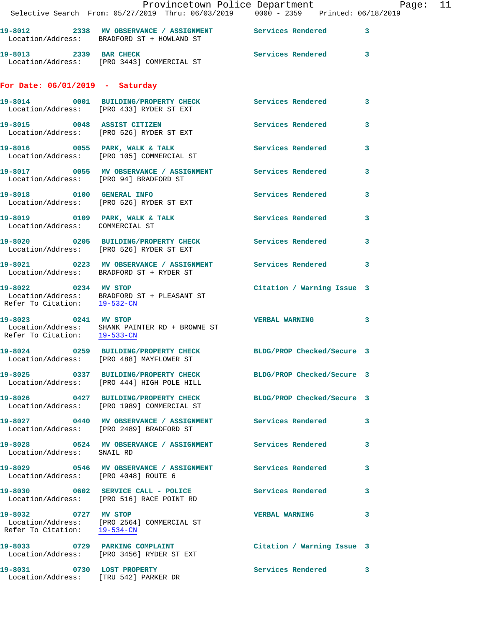|                                                                     | Provincetown Police Department<br>Selective Search From: 05/27/2019 Thru: 06/03/2019   0000 - 2359   Printed: 06/18/2019 |                            | Page: 11     |  |
|---------------------------------------------------------------------|--------------------------------------------------------------------------------------------------------------------------|----------------------------|--------------|--|
|                                                                     |                                                                                                                          |                            |              |  |
|                                                                     | 19-8012 2338 MV OBSERVANCE / ASSIGNMENT Services Rendered 3<br>Location/Address: BRADFORD ST + HOWLAND ST                |                            |              |  |
| 19-8013 2339 BAR CHECK                                              | Location/Address: [PRO 3443] COMMERCIAL ST                                                                               | Services Rendered 3        |              |  |
| For Date: $06/01/2019$ - Saturday                                   |                                                                                                                          |                            |              |  |
|                                                                     | 19-8014 0001 BUILDING/PROPERTY CHECK Services Rendered 3<br>Location/Address: [PRO 433] RYDER ST EXT                     |                            |              |  |
|                                                                     | 19-8015 0048 ASSIST CITIZEN<br>Location/Address: [PRO 526] RYDER ST EXT                                                  | Services Rendered 3        |              |  |
|                                                                     | 19-8016 0055 PARK, WALK & TALK<br>Location/Address: [PRO 105] COMMERCIAL ST                                              | <b>Services Rendered</b>   | 3            |  |
| Location/Address: [PRO 94] BRADFORD ST                              | 19-8017 60055 MV OBSERVANCE / ASSIGNMENT Services Rendered                                                               |                            | $\mathbf{3}$ |  |
|                                                                     | 19-8018 0100 GENERAL INFO<br>Location/Address: [PRO 526] RYDER ST EXT                                                    | Services Rendered          | $\mathbf{3}$ |  |
| Location/Address: COMMERCIAL ST                                     | 19-8019 0109 PARK, WALK & TALK CONNECT Services Rendered 3                                                               |                            |              |  |
|                                                                     | 19-8020 0205 BUILDING/PROPERTY CHECK Services Rendered<br>Location/Address: [PRO 526] RYDER ST EXT                       |                            | 3            |  |
|                                                                     | 19-8021 0223 MV OBSERVANCE / ASSIGNMENT Services Rendered 3<br>Location/Address: BRADFORD ST + RYDER ST                  |                            |              |  |
|                                                                     | 19-8022 0234 MV STOP<br>Location/Address: BRADFORD ST + PLEASANT ST<br>Refer To Citation: $\frac{19-532-CN}{19-532-CN}$  | Citation / Warning Issue 3 |              |  |
| 19-8023 0241 MV STOP<br>Refer To Citation: 19-533-CN                | Location/Address: SHANK PAINTER RD + BROWNE ST                                                                           | <b>VERBAL WARNING</b>      | 3            |  |
|                                                                     | 19-8024 0259 BUILDING/PROPERTY CHECK BLDG/PROP Checked/Secure 3<br>Location/Address: [PRO 488] MAYFLOWER ST              |                            |              |  |
|                                                                     | 19-8025 0337 BUILDING/PROPERTY CHECK BLDG/PROP Checked/Secure 3<br>Location/Address: [PRO 444] HIGH POLE HILL            |                            |              |  |
|                                                                     | 19-8026 0427 BUILDING/PROPERTY CHECK BLDG/PROP Checked/Secure 3<br>Location/Address: [PRO 1989] COMMERCIAL ST            |                            |              |  |
|                                                                     | 19-8027 0440 MV OBSERVANCE / ASSIGNMENT Services Rendered 3<br>Location/Address: [PRO 2489] BRADFORD ST                  |                            |              |  |
| Location/Address: SNAIL RD                                          | 19-8028 6524 MV OBSERVANCE / ASSIGNMENT Services Rendered                                                                |                            | 3            |  |
| Location/Address: [PRO 4048] ROUTE 6                                | 19-8029 0546 MV OBSERVANCE / ASSIGNMENT Services Rendered                                                                |                            | $\mathbf{3}$ |  |
|                                                                     | 19-8030 0602 SERVICE CALL - POLICE<br>Location/Address: [PRO 516] RACE POINT RD                                          | Services Rendered 3        |              |  |
| 19-8032 0727 MV STOP<br>Refer To Citation: 19-534-CN                | Location/Address: [PRO 2564] COMMERCIAL ST                                                                               | <b>VERBAL WARNING</b>      | 3            |  |
|                                                                     | 19-8033 0729 PARKING COMPLAINT<br>Location/Address: [PRO 3456] RYDER ST EXT                                              | Citation / Warning Issue 3 |              |  |
| 19-8031 0730 LOST PROPERTY<br>Location/Address: [TRU 542] PARKER DR |                                                                                                                          | Services Rendered 3        |              |  |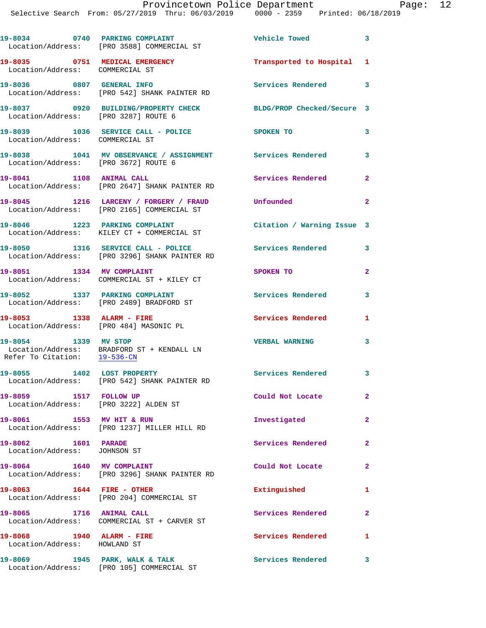|                                                                     | 19-8034 0740 PARKING COMPLAINT<br>Location/Address: [PRO 3588] COMMERCIAL ST          | Vehicle Towed              | $\overline{\mathbf{3}}$ |
|---------------------------------------------------------------------|---------------------------------------------------------------------------------------|----------------------------|-------------------------|
| 19-8035 0751 MEDICAL EMERGENCY<br>Location/Address: COMMERCIAL ST   |                                                                                       | Transported to Hospital 1  |                         |
|                                                                     | 19-8036 0807 GENERAL INFO<br>Location/Address: [PRO 542] SHANK PAINTER RD             | Services Rendered 3        |                         |
| Location/Address: [PRO 3287] ROUTE 6                                | 19-8037 0920 BUILDING/PROPERTY CHECK                                                  | BLDG/PROP Checked/Secure 3 |                         |
| Location/Address: COMMERCIAL ST                                     | 19-8039 1036 SERVICE CALL - POLICE                                                    | SPOKEN TO                  | 3                       |
| Location/Address: [PRO 3672] ROUTE 6                                | 19-8038 1041 MV OBSERVANCE / ASSIGNMENT Services Rendered 3                           |                            |                         |
| 19-8041 1108 ANIMAL CALL                                            | Location/Address: [PRO 2647] SHANK PAINTER RD                                         | Services Rendered          | $\mathbf{2}$            |
|                                                                     | 19-8045 1216 LARCENY / FORGERY / FRAUD<br>Location/Address: [PRO 2165] COMMERCIAL ST  | Unfounded                  | $\overline{2}$          |
|                                                                     | 19-8046 1223 PARKING COMPLAINT<br>Location/Address: KILEY CT + COMMERCIAL ST          | Citation / Warning Issue 3 |                         |
|                                                                     | 19-8050 1316 SERVICE CALL - POLICE<br>Location/Address: [PRO 3296] SHANK PAINTER RD   | <b>Services Rendered</b>   | 3                       |
| 19-8051 1334 MV COMPLAINT                                           | Location/Address: COMMERCIAL ST + KILEY CT                                            | SPOKEN TO                  | 2                       |
| 19-8052 1337 PARKING COMPLAINT                                      | Location/Address: [PRO 2489] BRADFORD ST                                              | <b>Services Rendered</b>   | 3                       |
| 19-8053 1338 ALARM - FIRE<br>Location/Address: [PRO 484] MASONIC PL |                                                                                       | <b>Services Rendered</b>   | 1                       |
| 19-8054 1339 MV STOP                                                | Location/Address: BRADFORD ST + KENDALL LN<br>Refer To Citation: $\frac{19-536-CN}{}$ | <b>VERBAL WARNING</b>      | 3                       |
| 19-8055 1402 LOST PROPERTY                                          | Location/Address: [PRO 542] SHANK PAINTER RD                                          | Services Rendered 3        |                         |
| 19-8059 1517 FOLLOW UP<br>Location/Address: [PRO 3222] ALDEN ST     |                                                                                       | Could Not Locate           | $\mathbf{2}$            |
| 19-8061 1553 MV HIT & RUN                                           | Location/Address: [PRO 1237] MILLER HILL RD                                           | Investigated               | $\overline{2}$          |
| 19-8062 1601 PARADE<br>Location/Address: JOHNSON ST                 |                                                                                       | Services Rendered          | $\mathbf{2}$            |
| 19-8064 1640 MV COMPLAINT                                           | Location/Address: [PRO 3296] SHANK PAINTER RD                                         | Could Not Locate           | $\mathbf{2}$            |
| 19-8063 1644 FIRE - OTHER                                           | Location/Address: [PRO 204] COMMERCIAL ST                                             | Extinguished               | 1                       |
| 19-8065 1716 ANIMAL CALL                                            | Location/Address: COMMERCIAL ST + CARVER ST                                           | Services Rendered          | $\mathbf{2}$            |
| 19-8068 1940 ALARM - FIRE<br>Location/Address: HOWLAND ST           |                                                                                       | Services Rendered          | 1                       |
|                                                                     | 19-8069 1945 PARK, WALK & TALK<br>Location/Address: [PRO 105] COMMERCIAL ST           | <b>Services Rendered</b>   | 3                       |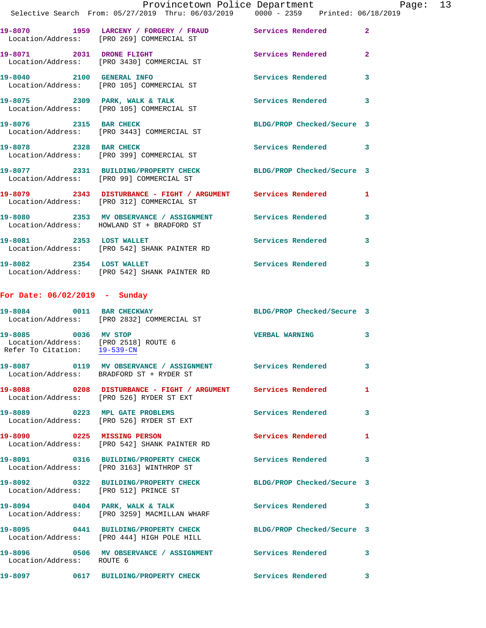|                                                                                              | Provincetown Police Department<br>Selective Search From: 05/27/2019 Thru: 06/03/2019 0000 - 2359 Printed: 06/18/2019 |                            |                         |
|----------------------------------------------------------------------------------------------|----------------------------------------------------------------------------------------------------------------------|----------------------------|-------------------------|
|                                                                                              | 19-8070 1959 LARCENY / FORGERY / FRAUD Services Rendered 2<br>Location/Address: [PRO 269] COMMERCIAL ST              |                            |                         |
|                                                                                              | 19-8071 2031 DRONE FLIGHT<br>Location/Address: [PRO 3430] COMMERCIAL ST                                              | Services Rendered 2        |                         |
|                                                                                              | 19-8040 2100 GENERAL INFO<br>Location/Address: [PRO 105] COMMERCIAL ST                                               | Services Rendered          | $\overline{\mathbf{3}}$ |
|                                                                                              | 19-8075 2309 PARK, WALK & TALK<br>Location/Address: [PRO 105] COMMERCIAL ST                                          | Services Rendered 3        |                         |
|                                                                                              | 19-8076 2315 BAR CHECK<br>Location/Address: [PRO 3443] COMMERCIAL ST                                                 | BLDG/PROP Checked/Secure 3 |                         |
|                                                                                              | 19-8078 2328 BAR CHECK<br>Location/Address: [PRO 399] COMMERCIAL ST                                                  | Services Rendered 3        |                         |
|                                                                                              | 19-8077 2331 BUILDING/PROPERTY CHECK BLDG/PROP Checked/Secure 3<br>Location/Address: [PRO 99] COMMERCIAL ST          |                            |                         |
|                                                                                              | 19-8079 2343 DISTURBANCE - FIGHT / ARGUMENT Services Rendered 1<br>Location/Address: [PRO 312] COMMERCIAL ST         |                            |                         |
|                                                                                              | 19-8080 2353 MV OBSERVANCE / ASSIGNMENT Services Rendered 3<br>Location/Address: HOWLAND ST + BRADFORD ST            |                            |                         |
| 19-8081 2353 LOST WALLET                                                                     | Location/Address: [PRO 542] SHANK PAINTER RD                                                                         | Services Rendered 3        |                         |
|                                                                                              | 19-8082 2354 LOST WALLET<br>Location/Address: [PRO 542] SHANK PAINTER RD                                             | Services Rendered 3        |                         |
| For Date: 06/02/2019 - Sunday                                                                |                                                                                                                      |                            |                         |
|                                                                                              | 19-8084 0011 BAR CHECKWAY BLDG/PROP Checked/Secure 3<br>Location/Address: [PRO 2832] COMMERCIAL ST                   |                            |                         |
| 19-8085 0036 MV STOP<br>Location/Address: [PRO 2518] ROUTE 6<br>Refer To Citation: 19-539-CN |                                                                                                                      | <b>VERBAL WARNING</b>      | 3                       |
|                                                                                              | 19-8087 0119 MV OBSERVANCE / ASSIGNMENT Services Rendered<br>Location/Address: BRADFORD ST + RYDER ST                |                            | 3                       |
|                                                                                              | 19-8088 0208 DISTURBANCE - FIGHT / ARGUMENT Services Rendered 1<br>Location/Address: [PRO 526] RYDER ST EXT          |                            |                         |
|                                                                                              | 19-8089 0223 MPL GATE PROBLEMS<br>Location/Address: [PRO 526] RYDER ST EXT                                           | Services Rendered          | 3                       |
|                                                                                              | 19-8090 0225 MISSING PERSON<br>Location/Address: [PRO 542] SHANK PAINTER RD                                          | Services Rendered          | 1                       |
|                                                                                              | 19-8091 0316 BUILDING/PROPERTY CHECK Services Rendered<br>Location/Address: [PRO 3163] WINTHROP ST                   |                            | 3                       |
|                                                                                              | 19-8092 0322 BUILDING/PROPERTY CHECK BLDG/PROP Checked/Secure 3<br>Location/Address: [PRO 512] PRINCE ST             |                            |                         |
|                                                                                              | 19-8094 0404 PARK, WALK & TALK<br>Location/Address: [PRO 3259] MACMILLAN WHARF                                       | Services Rendered 3        |                         |
|                                                                                              | 19-8095 0441 BUILDING/PROPERTY CHECK BLDG/PROP Checked/Secure 3<br>Location/Address: [PRO 444] HIGH POLE HILL        |                            |                         |
| Location/Address: ROUTE 6                                                                    | 19-8096 		 0506 MV OBSERVANCE / ASSIGNMENT Services Rendered 3                                                       |                            |                         |

**19-8097 0617 BUILDING/PROPERTY CHECK Services Rendered 3**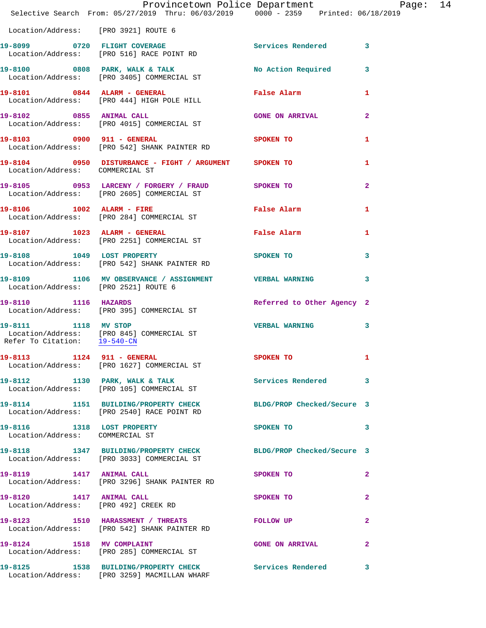| Selective Search From: $05/27/2019$ Thru: $06/03/2019$ $0000 - 2359$ Printed: $06/18/2019$                                            |  |  | Provincetown Police Department Page: 14 |                |  |
|---------------------------------------------------------------------------------------------------------------------------------------|--|--|-----------------------------------------|----------------|--|
| Location/Address: [PRO 3921] ROUTE 6                                                                                                  |  |  |                                         |                |  |
| 19-8099 0720 FLIGHT COVERAGE<br>Location/Address: [PRO 516] RACE POINT RD                                                             |  |  | Services Rendered 3                     |                |  |
| 19-8100 0808 PARK, WALK & TALK NO Action Required 3<br>Location/Address: [PRO 3405] COMMERCIAL ST                                     |  |  |                                         |                |  |
| 19-8101 0844 ALARM - GENERAL False Alarm 1<br>Location/Address: [PRO 444] HIGH POLE HILL                                              |  |  |                                         |                |  |
| 19-8102 0855 ANIMAL CALL<br>Location/Address: [PRO 4015] COMMERCIAL ST                                                                |  |  | <b>GONE ON ARRIVAL</b>                  | $\mathbf{2}$   |  |
| 19-8103 0900 911 - GENERAL<br>Location/Address: [PRO 542] SHANK PAINTER RD                                                            |  |  | SPOKEN TO                               | $\mathbf{1}$   |  |
| 19-8104 0950 DISTURBANCE - FIGHT / ARGUMENT SPOKEN TO<br>Location/Address: COMMERCIAL ST                                              |  |  |                                         | 1              |  |
| 19-8105 0953 LARCENY / FORGERY / FRAUD SPOKEN TO<br>Location/Address: [PRO 2605] COMMERCIAL ST                                        |  |  |                                         | $\overline{2}$ |  |
| 19-8106 1002 ALARM - FIRE<br>Location/Address: [PRO 284] COMMERCIAL ST                                                                |  |  | <b>False Alarm</b>                      | 1              |  |
| 19-8107 1023 ALARM - GENERAL<br>Location/Address: [PRO 2251] COMMERCIAL ST                                                            |  |  | False Alarm                             | 1              |  |
| 19-8108 1049 LOST PROPERTY<br>Location/Address: [PRO 542] SHANK PAINTER RD                                                            |  |  | SPOKEN TO                               | $\mathbf{3}$   |  |
| 19-8109 1106 MV OBSERVANCE / ASSIGNMENT VERBAL WARNING<br>Location/Address: [PRO 2521] ROUTE 6                                        |  |  |                                         | $\mathbf{3}$   |  |
| 19-8110 1116 HAZARDS<br>Location/Address: [PRO 395] COMMERCIAL ST                                                                     |  |  | Referred to Other Agency 2              |                |  |
| 19-8111 1118 MV STOP<br>Location/Address: [PRO 845] COMMERCIAL ST<br>Refer To Citation: $\frac{19-540\text{ -CN}}{29-540\text{ -CN}}$ |  |  | VERBAL WARNING 3                        |                |  |
| 19-8113 1124 911 - GENERAL<br>Location/Address: [PRO 1627] COMMERCIAL ST                                                              |  |  | <b>SPOKEN TO</b>                        |                |  |
| 19-8112 1130 PARK, WALK & TALK<br>Location/Address: [PRO 105] COMMERCIAL ST                                                           |  |  | Services Rendered 3                     |                |  |
| 19-8114 1151 BUILDING/PROPERTY CHECK BLDG/PROP Checked/Secure 3<br>Location/Address: [PRO 2540] RACE POINT RD                         |  |  |                                         |                |  |
| 19-8116 1318 LOST PROPERTY<br>Location/Address: COMMERCIAL ST                                                                         |  |  | SPOKEN TO                               | $\mathbf{3}$   |  |
| 19-8118 1347 BUILDING/PROPERTY CHECK BLDG/PROP Checked/Secure 3<br>Location/Address: [PRO 3033] COMMERCIAL ST                         |  |  |                                         |                |  |
| 19-8119 1417 ANIMAL CALL<br>Location/Address: [PRO 3296] SHANK PAINTER RD                                                             |  |  | SPOKEN TO                               | $\mathbf{2}$   |  |
| 19-8120 1417 ANIMAL CALL<br>Location/Address: [PRO 492] CREEK RD                                                                      |  |  | SPOKEN TO                               | $\mathbf{2}$   |  |
| 19-8123 1510 HARASSMENT / THREATS FOLLOW UP<br>Location/Address: [PRO 542] SHANK PAINTER RD                                           |  |  |                                         | $\mathbf{2}$   |  |
| 19-8124 1518 MV COMPLAINT<br>Location/Address: [PRO 285] COMMERCIAL ST                                                                |  |  | <b>GONE ON ARRIVAL</b>                  | $\mathbf{2}$   |  |
| 19-8125 1538 BUILDING/PROPERTY CHECK Services Rendered 3<br>Location/Address: [PRO 3259] MACMILLAN WHARF                              |  |  |                                         |                |  |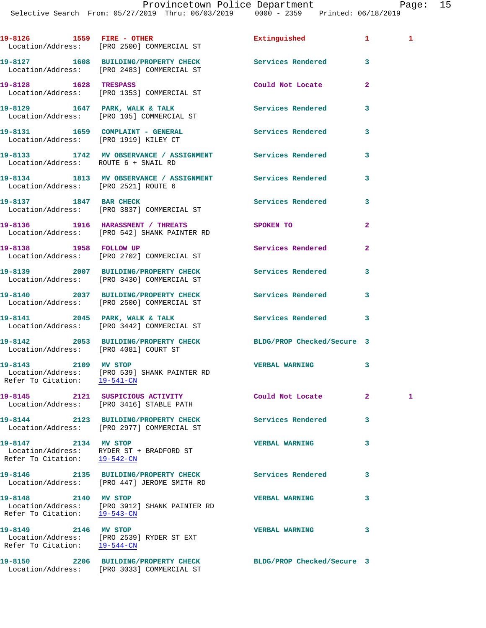Provincetown Police Department Fage: 15

Selective Search From: 05/27/2019 Thru: 06/03/2019 0000 - 2359 Printed: 06/18/2019

|                                                      | 19-8126 1559 FIRE - OTHER<br>Location/Address: [PRO 2500] COMMERCIAL ST                                | Extinguished                                    | $\mathbf{1}$   | $\mathbf{1}$ |
|------------------------------------------------------|--------------------------------------------------------------------------------------------------------|-------------------------------------------------|----------------|--------------|
|                                                      | 19-8127 1608 BUILDING/PROPERTY CHECK<br>Location/Address: [PRO 2483] COMMERCIAL ST                     | Services Rendered 3                             |                |              |
| 19-8128 1628 TRESPASS                                | Location/Address: [PRO 1353] COMMERCIAL ST                                                             | Could Not Locate                                | $\overline{2}$ |              |
|                                                      | 19-8129 1647 PARK, WALK & TALK<br>Location/Address: [PRO 105] COMMERCIAL ST                            | Services Rendered                               | 3              |              |
| Location/Address: [PRO 1919] KILEY CT                | 19-8131 1659 COMPLAINT - GENERAL Services Rendered 3                                                   |                                                 |                |              |
|                                                      |                                                                                                        |                                                 | 3              |              |
|                                                      | 19-8134 1813 MV OBSERVANCE / ASSIGNMENT Services Rendered 3<br>Location/Address: [PRO 2521] ROUTE 6    |                                                 |                |              |
|                                                      | 19-8137 1847 BAR CHECK<br>Location/Address: [PRO 3837] COMMERCIAL ST                                   | Services Rendered                               | $\mathbf{3}$   |              |
|                                                      | 19-8136 1916 HARASSMENT / THREATS<br>Location/Address: [PRO 542] SHANK PAINTER RD                      | <b>SPOKEN TO</b>                                | $\overline{a}$ |              |
|                                                      | 19-8138 1958 FOLLOW UP<br>Location/Address: [PRO 2702] COMMERCIAL ST                                   | <b>Services Rendered</b>                        | $\overline{a}$ |              |
|                                                      | 19-8139 2007 BUILDING/PROPERTY CHECK<br>Location/Address: [PRO 3430] COMMERCIAL ST                     | Services Rendered                               | 3              |              |
|                                                      | 19-8140 2037 BUILDING/PROPERTY CHECK Services Rendered 3<br>Location/Address: [PRO 2500] COMMERCIAL ST |                                                 |                |              |
|                                                      | 19-8141 2045 PARK, WALK & TALK<br>Location/Address: [PRO 3442] COMMERCIAL ST                           | <b>Services Rendered</b> 3                      |                |              |
| Location/Address: [PRO 4081] COURT ST                | 19-8142 2053 BUILDING/PROPERTY CHECK BLDG/PROP Checked/Secure 3                                        |                                                 |                |              |
| Refer To Citation: 19-541-CN                         | 19-8143 2109 MV STOP<br>Location/Address: [PRO 539] SHANK PAINTER RD                                   | <b>VERBAL WARNING</b>                           | 3              |              |
|                                                      | Location/Address: [PRO 3416] STABLE PATH                                                               | Could Not Locate Note that the Could Not Locate | $\mathbf{2}$   | 1            |
|                                                      | 19-8144 2123 BUILDING/PROPERTY CHECK<br>Location/Address: [PRO 2977] COMMERCIAL ST                     | <b>Services Rendered</b>                        | 3              |              |
| 19-8147 2134 MV STOP<br>Refer To Citation: 19-542-CN | Location/Address: RYDER ST + BRADFORD ST                                                               | <b>VERBAL WARNING</b>                           | 3              |              |
|                                                      | 19-8146 2135 BUILDING/PROPERTY CHECK Services Rendered<br>Location/Address: [PRO 447] JEROME SMITH RD  |                                                 | 3              |              |
| 19-8148 2140 MV STOP                                 | Location/Address: [PRO 3912] SHANK PAINTER RD<br>Refer To Citation: 19-543-CN                          | <b>VERBAL WARNING</b>                           | 3              |              |
| 19-8149 2146 MV STOP<br>Refer To Citation: 19-544-CN | Location/Address: [PRO 2539] RYDER ST EXT                                                              | <b>VERBAL WARNING</b>                           | 3              |              |
|                                                      | 19-8150 2206 BUILDING/PROPERTY CHECK                                                                   | BLDG/PROP Checked/Secure 3                      |                |              |

Location/Address: [PRO 3033] COMMERCIAL ST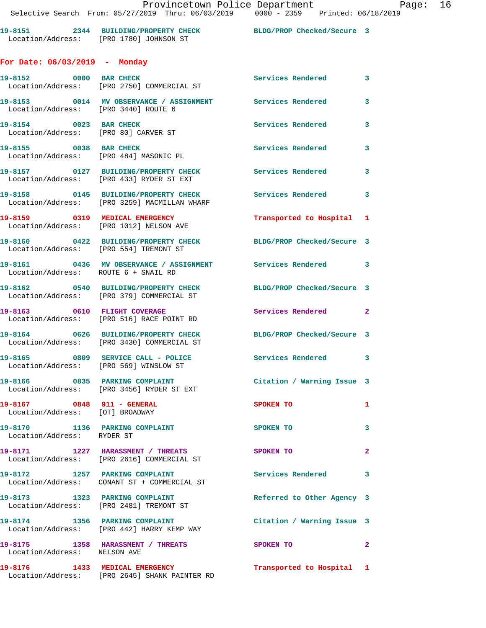**19-8151 2344 BUILDING/PROPERTY CHECK BLDG/PROP Checked/Secure 3**  Location/Address: [PRO 1780] JOHNSON ST

## **For Date: 06/03/2019 - Monday**

| 19-8152 0000 BAR CHECK                                           | Location/Address: [PRO 2750] COMMERCIAL ST                                           | Services Rendered 3        |                |
|------------------------------------------------------------------|--------------------------------------------------------------------------------------|----------------------------|----------------|
| Location/Address: [PRO 3440] ROUTE 6                             |                                                                                      |                            | $\mathbf{3}$   |
| 19-8154 0023 BAR CHECK<br>Location/Address: [PRO 80] CARVER ST   |                                                                                      | Services Rendered          | $\mathbf{3}$   |
| 19-8155 0038 BAR CHECK<br>Location/Address: [PRO 484] MASONIC PL |                                                                                      | <b>Services Rendered</b>   | 3              |
|                                                                  | 19-8157 0127 BUILDING/PROPERTY CHECK<br>Location/Address: [PRO 433] RYDER ST EXT     | Services Rendered 3        |                |
|                                                                  | 19-8158 0145 BUILDING/PROPERTY CHECK<br>Location/Address: [PRO 3259] MACMILLAN WHARF | Services Rendered 3        |                |
|                                                                  | 19-8159 0319 MEDICAL EMERGENCY<br>Location/Address: [PRO 1012] NELSON AVE            | Transported to Hospital 1  |                |
| Location/Address: [PRO 554] TREMONT ST                           | 19-8160 0422 BUILDING/PROPERTY CHECK                                                 | BLDG/PROP Checked/Secure 3 |                |
| Location/Address: ROUTE 6 + SNAIL RD                             | 19-8161 0436 MV OBSERVANCE / ASSIGNMENT Services Rendered 3                          |                            |                |
|                                                                  | 19-8162 0540 BUILDING/PROPERTY CHECK<br>Location/Address: [PRO 379] COMMERCIAL ST    | BLDG/PROP Checked/Secure 3 |                |
|                                                                  | 19-8163 0610 FLIGHT COVERAGE<br>Location/Address: [PRO 516] RACE POINT RD            | Services Rendered 2        |                |
|                                                                  | 19-8164 0626 BUILDING/PROPERTY CHECK<br>Location/Address: [PRO 3430] COMMERCIAL ST   | BLDG/PROP Checked/Secure 3 |                |
|                                                                  | 19-8165 0809 SERVICE CALL - POLICE<br>Location/Address: [PRO 569] WINSLOW ST         | Services Rendered 3        |                |
|                                                                  | 19-8166 0835 PARKING COMPLAINT<br>Location/Address: [PRO 3456] RYDER ST EXT          | Citation / Warning Issue 3 |                |
| 19-8167 0848 911 - GENERAL<br>Location/Address: [OT] BROADWAY    |                                                                                      | <b>SPOKEN TO</b>           | 1              |
| 19-8170 1136 PARKING COMPLAINT<br>Location/Address: RYDER ST     |                                                                                      | SPOKEN TO                  | 3              |
|                                                                  | 19-8171 1227 HARASSMENT / THREATS<br>Location/Address: [PRO 2616] COMMERCIAL ST      | <b>SPOKEN TO</b>           | $\overline{2}$ |
| 19-8172                                                          | 1257 PARKING COMPLAINT<br>Location/Address: CONANT ST + COMMERCIAL ST                | <b>Services Rendered</b>   | 3              |
|                                                                  | 19-8173 1323 PARKING COMPLAINT<br>Location/Address: [PRO 2481] TREMONT ST            | Referred to Other Agency 3 |                |
|                                                                  | 19-8174 1356 PARKING COMPLAINT<br>Location/Address: [PRO 442] HARRY KEMP WAY         | Citation / Warning Issue 3 |                |
| Location/Address: NELSON AVE                                     | 19-8175 1358 HARASSMENT / THREATS                                                    | SPOKEN TO                  | $\mathbf{2}$   |
|                                                                  | 19-8176 1433 MEDICAL EMERGENCY<br>Location/Address: [PRO 2645] SHANK PAINTER RD      | Transported to Hospital 1  |                |